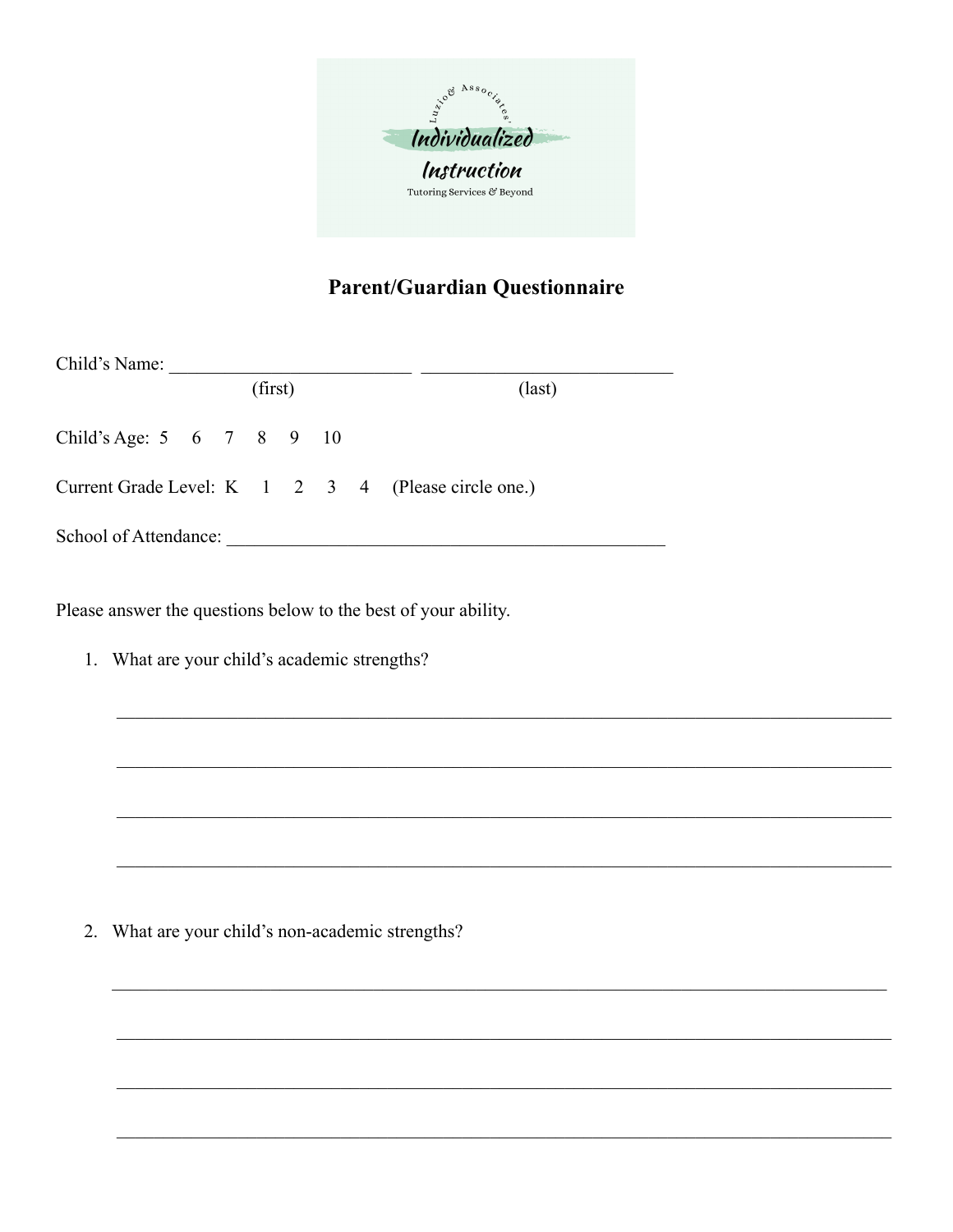

## **Parent/Guardian Questionnaire**

| Child's Name:             |         |  |  |  |  |  |                                                     |
|---------------------------|---------|--|--|--|--|--|-----------------------------------------------------|
|                           | (first) |  |  |  |  |  | $\text{(last)}$                                     |
| Child's Age: 5 6 7 8 9 10 |         |  |  |  |  |  |                                                     |
|                           |         |  |  |  |  |  | Current Grade Level: K 1 2 3 4 (Please circle one.) |
| School of Attendance:     |         |  |  |  |  |  |                                                     |

Please answer the questions below to the best of your ability.

1. What are your child's academic strengths?

2. What are your child's non-academic strengths?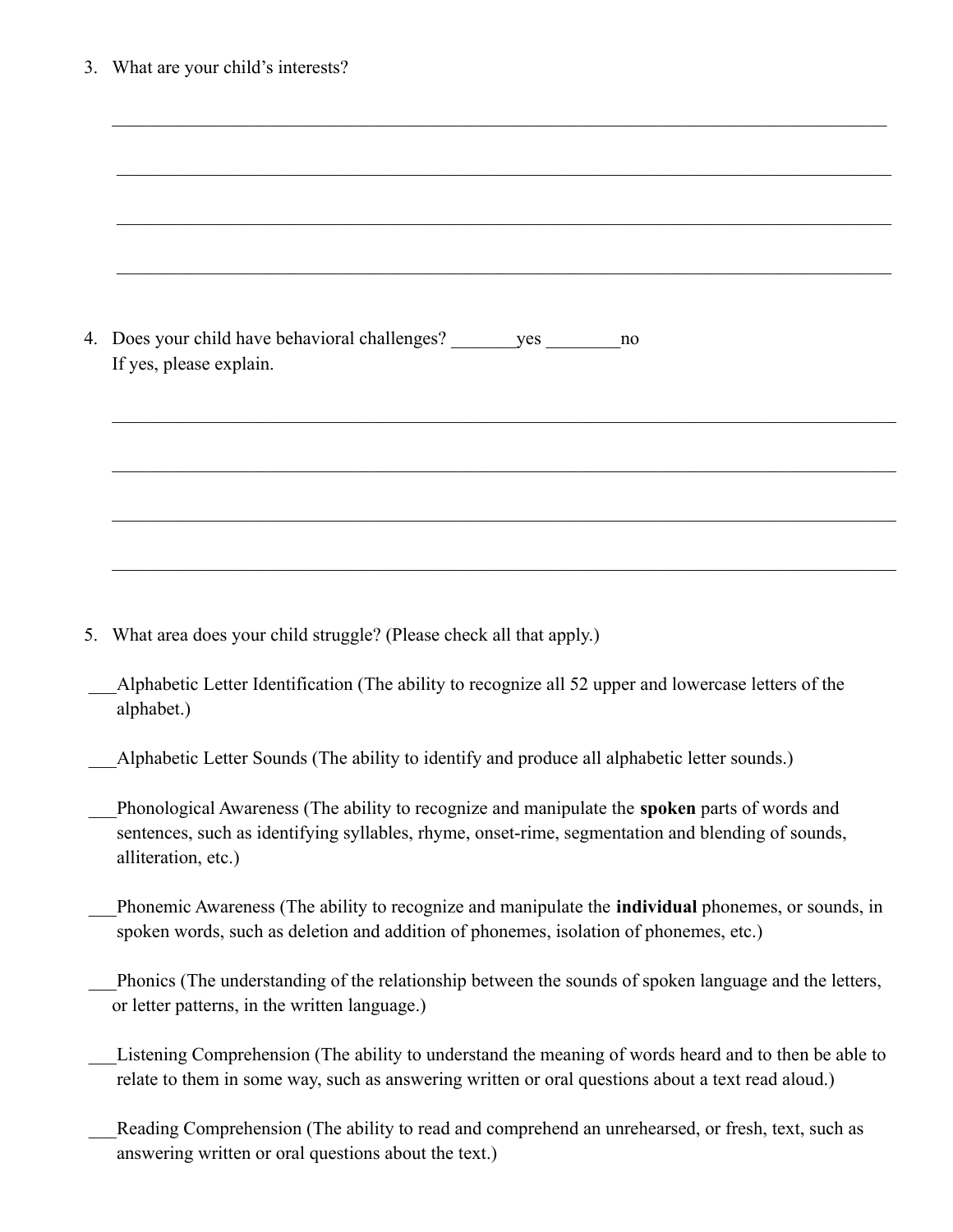| 3. What are your child's interests?                                                                                                                                                                                       |  |  |  |  |  |  |  |  |  |  |
|---------------------------------------------------------------------------------------------------------------------------------------------------------------------------------------------------------------------------|--|--|--|--|--|--|--|--|--|--|
|                                                                                                                                                                                                                           |  |  |  |  |  |  |  |  |  |  |
|                                                                                                                                                                                                                           |  |  |  |  |  |  |  |  |  |  |
|                                                                                                                                                                                                                           |  |  |  |  |  |  |  |  |  |  |
|                                                                                                                                                                                                                           |  |  |  |  |  |  |  |  |  |  |
| 4. Does your child have behavioral challenges? __________________________________<br>no<br>If yes, please explain.                                                                                                        |  |  |  |  |  |  |  |  |  |  |
|                                                                                                                                                                                                                           |  |  |  |  |  |  |  |  |  |  |
|                                                                                                                                                                                                                           |  |  |  |  |  |  |  |  |  |  |
|                                                                                                                                                                                                                           |  |  |  |  |  |  |  |  |  |  |
|                                                                                                                                                                                                                           |  |  |  |  |  |  |  |  |  |  |
| 5. What area does your child struggle? (Please check all that apply.)                                                                                                                                                     |  |  |  |  |  |  |  |  |  |  |
| Alphabetic Letter Identification (The ability to recognize all 52 upper and lowercase letters of the<br>alphabet.)                                                                                                        |  |  |  |  |  |  |  |  |  |  |
| Alphabetic Letter Sounds (The ability to identify and produce all alphabetic letter sounds.)                                                                                                                              |  |  |  |  |  |  |  |  |  |  |
| Phonological Awareness (The ability to recognize and manipulate the spoken parts of words and<br>sentences, such as identifying syllables, rhyme, onset-rime, segmentation and blending of sounds,<br>alliteration, etc.) |  |  |  |  |  |  |  |  |  |  |
| Phonemic Awareness (The ability to recognize and manipulate the individual phonemes, or sounds, in<br>spoken words, such as deletion and addition of phonemes, isolation of phonemes, etc.)                               |  |  |  |  |  |  |  |  |  |  |
| Phonics (The understanding of the relationship between the sounds of spoken language and the letters,<br>or letter patterns, in the written language.)                                                                    |  |  |  |  |  |  |  |  |  |  |
| Listening Comprehension (The ability to understand the meaning of words heard and to then be able to<br>relate to them in some way, such as answering written or oral questions about a text read aloud.)                 |  |  |  |  |  |  |  |  |  |  |
| Reading Comprehension (The ability to read and comprehend an unrehearsed, or fresh, text, such as<br>answering written or oral questions about the text.)                                                                 |  |  |  |  |  |  |  |  |  |  |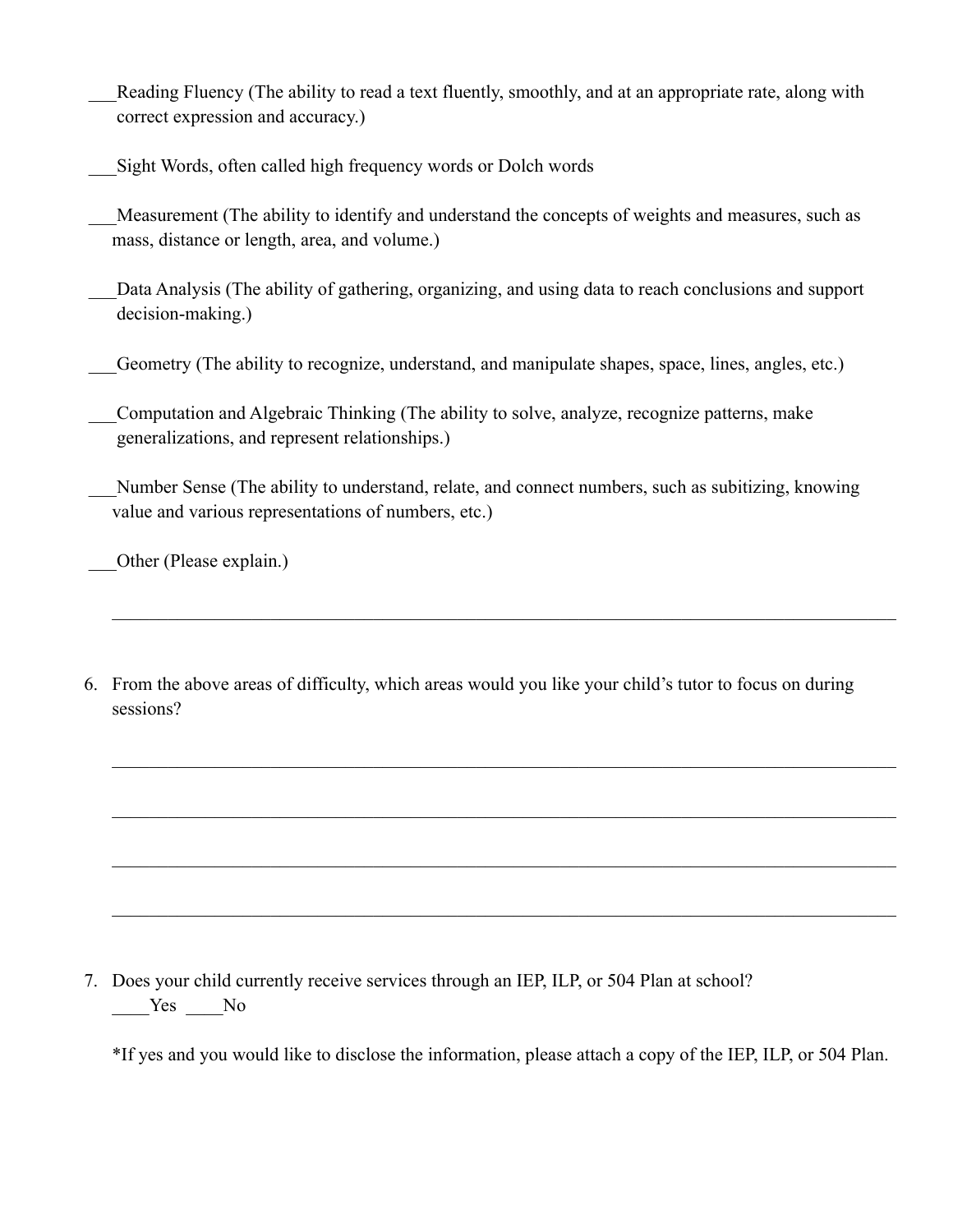Reading Fluency (The ability to read a text fluently, smoothly, and at an appropriate rate, along with correct expression and accuracy.)

\_\_\_Sight Words, often called high frequency words or Dolch words

Measurement (The ability to identify and understand the concepts of weights and measures, such as mass, distance or length, area, and volume.)

Data Analysis (The ability of gathering, organizing, and using data to reach conclusions and support decision-making.)

Geometry (The ability to recognize, understand, and manipulate shapes, space, lines, angles, etc.)

\_\_\_Computation and Algebraic Thinking (The ability to solve, analyze, recognize patterns, make generalizations, and represent relationships.)

Number Sense (The ability to understand, relate, and connect numbers, such as subitizing, knowing value and various representations of numbers, etc.)

 $\mathcal{L}_\mathcal{L} = \{ \mathcal{L}_\mathcal{L} = \{ \mathcal{L}_\mathcal{L} = \{ \mathcal{L}_\mathcal{L} = \{ \mathcal{L}_\mathcal{L} = \{ \mathcal{L}_\mathcal{L} = \{ \mathcal{L}_\mathcal{L} = \{ \mathcal{L}_\mathcal{L} = \{ \mathcal{L}_\mathcal{L} = \{ \mathcal{L}_\mathcal{L} = \{ \mathcal{L}_\mathcal{L} = \{ \mathcal{L}_\mathcal{L} = \{ \mathcal{L}_\mathcal{L} = \{ \mathcal{L}_\mathcal{L} = \{ \mathcal{L}_\mathcal{$ 

 $\mathcal{L}_\text{max} = \frac{1}{2} \sum_{i=1}^n \mathcal{L}_\text{max}(\mathbf{x}_i - \mathbf{y}_i)$ 

 $\mathcal{L}_\mathcal{L} = \{ \mathcal{L}_\mathcal{L} = \{ \mathcal{L}_\mathcal{L} = \{ \mathcal{L}_\mathcal{L} = \{ \mathcal{L}_\mathcal{L} = \{ \mathcal{L}_\mathcal{L} = \{ \mathcal{L}_\mathcal{L} = \{ \mathcal{L}_\mathcal{L} = \{ \mathcal{L}_\mathcal{L} = \{ \mathcal{L}_\mathcal{L} = \{ \mathcal{L}_\mathcal{L} = \{ \mathcal{L}_\mathcal{L} = \{ \mathcal{L}_\mathcal{L} = \{ \mathcal{L}_\mathcal{L} = \{ \mathcal{L}_\mathcal{$ 

 $\mathcal{L}_\mathcal{L} = \{ \mathcal{L}_\mathcal{L} = \{ \mathcal{L}_\mathcal{L} = \{ \mathcal{L}_\mathcal{L} = \{ \mathcal{L}_\mathcal{L} = \{ \mathcal{L}_\mathcal{L} = \{ \mathcal{L}_\mathcal{L} = \{ \mathcal{L}_\mathcal{L} = \{ \mathcal{L}_\mathcal{L} = \{ \mathcal{L}_\mathcal{L} = \{ \mathcal{L}_\mathcal{L} = \{ \mathcal{L}_\mathcal{L} = \{ \mathcal{L}_\mathcal{L} = \{ \mathcal{L}_\mathcal{L} = \{ \mathcal{L}_\mathcal{$ 

 $\mathcal{L}_\text{max} = \frac{1}{2} \sum_{i=1}^n \mathcal{L}_\text{max}(\mathbf{x}_i - \mathbf{y}_i)$ 

\_\_\_Other (Please explain.)

6. From the above areas of difficulty, which areas would you like your child's tutor to focus on during sessions?

7. Does your child currently receive services through an IEP, ILP, or 504 Plan at school? \_\_\_\_Yes \_\_\_\_No

\*If yes and you would like to disclose the information, please attach a copy of the IEP, ILP, or 504 Plan.